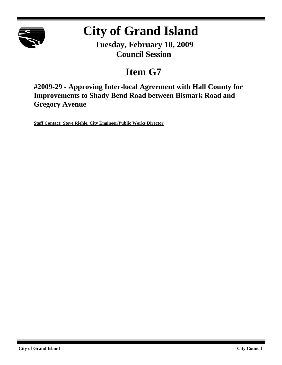

# **City of Grand Island**

**Tuesday, February 10, 2009 Council Session**

# **Item G7**

**#2009-29 - Approving Inter-local Agreement with Hall County for Improvements to Shady Bend Road between Bismark Road and Gregory Avenue**

**Staff Contact: Steve Riehle, City Engineer/Public Works Director**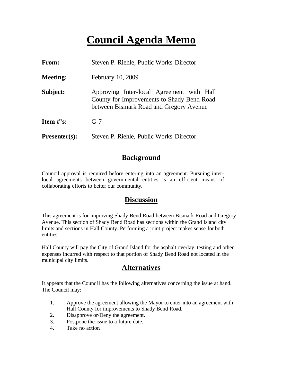# **Council Agenda Memo**

| <b>From:</b>    | Steven P. Riehle, Public Works Director                                                                                            |
|-----------------|------------------------------------------------------------------------------------------------------------------------------------|
| <b>Meeting:</b> | February 10, 2009                                                                                                                  |
| Subject:        | Approving Inter-local Agreement with Hall<br>County for Improvements to Shady Bend Road<br>between Bismark Road and Gregory Avenue |
| Item $\#$ 's:   | $G-7$                                                                                                                              |
| $Presenter(s):$ | Steven P. Riehle, Public Works Director                                                                                            |

## **Background**

Council approval is required before entering into an agreement. Pursuing interlocal agreements between governmental entities is an efficient means of collaborating efforts to better our community.

#### **Discussion**

This agreement is for improving Shady Bend Road between Bismark Road and Gregory Avenue. This section of Shady Bend Road has sections within the Grand Island city limits and sections in Hall County. Performing a joint project makes sense for both entities.

Hall County will pay the City of Grand Island for the asphalt overlay, testing and other expenses incurred with respect to that portion of Shady Bend Road not located in the municipal city limits.

## **Alternatives**

It appears that the Counc il has the following alternatives concerning the issue at hand. The Council may:

- 1. Approve the agreement allowing the Mayor to enter into an agreement with Hall County for improvements to Shady Bend Road.
- 2. Disapprove or/Deny the agreement.
- 3. Postpone the issue to a future date.
- 4. Take no action.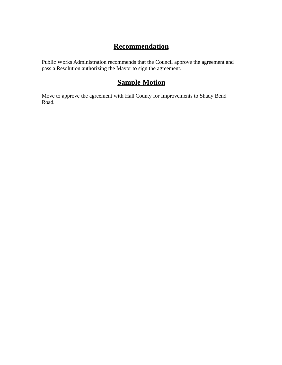## **Recommendation**

Public Works Administration recommends that the Council approve the agreement and pass a Resolution authorizing the Mayor to sign the agreement.

## **Sample Motion**

Move to approve the agreement with Hall County for Improvements to Shady Bend Road.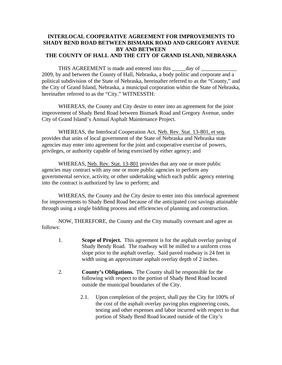#### **INTERLOCAL COOPERATIVE AGREEMENT FOR IMPROVEMENTS TO SHADY BEND ROAD BETWEEN BISMARK ROAD AND GREGORY AVENUE BY AND BETWEEN THE COUNTY OF HALL AND THE CITY OF GRAND ISLAND, NEBRASKA**

THIS AGREEMENT is made and entered into this \_\_\_\_\_day of \_\_\_\_\_\_\_\_\_\_\_\_\_ 2009, by and between the County of Hall, Nebraska, a body politic and corporate and a political subdivision of the State of Nebraska, hereinafter referred to as the "County," and the City of Grand Island, Nebraska, a municipal corporation within the State of Nebraska, hereinafter referred to as the "City." WITNESSTH:

WHEREAS, the County and City desire to enter into an agreement for the joint improvement of Shady Bend Road between Bismark Road and Gregory Avenue, under City of Grand Island's Annual Asphalt Maintenance Project.

WHEREAS, the Interlocal Cooperation Act, Neb. Rev. Stat. 13-801, et seq. provides that units of local government of the State of Nebraska and Nebraska state agencies may enter into agreement for the joint and cooperative exercise of powers, privileges, or authority capable of being exercised by either agency; and

WHEREAS, Neb. Rev. Stat. 13-801 provides that any one or more public agencies may contract with any one or more public agencies to perform any governmental service, activity, or other undertaking which each public agency entering into the contract is authorized by law to perform; and

WHEREAS, the County and the City desire to enter into this interlocal agreement for improvements to Shady Bend Road because of the anticipated cost savings attainable through using a single bidding process and efficiencies of planning and construction.

NOW, THEREFORE, the County and the City mutually covenant and agree as follows:

- 1. **Scope of Project.** This agreement is for the asphalt overlay paving of Shady Bendy Road. The roadway will be milled to a uniform cross slope prior to the asphalt overlay. Said paved roadway is 24 feet in width using an approximate asphalt overlay depth of 2 inches.
- 2. **County's Obligations.** The County shall be responsible for the following with respect to the portion of Shady Bend Road located outside the municipal boundaries of the City.
	- 2.1. Upon completion of the project, shall pay the City for 100% of the cost of the asphalt overlay paving plus engineering costs, testing and other expenses and labor incurred with respect to that portion of Shady Bend Road located outside of the City's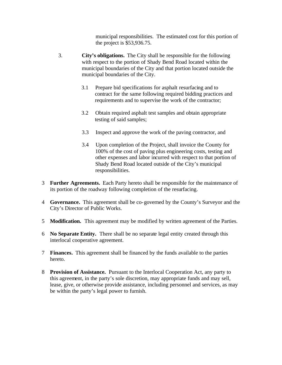municipal responsibilities. The estimated cost for this portion of the project is \$53,936.75.

- 3. **City's obligations.** The City shall be responsible for the following with respect to the portion of Shady Bend Road located within the municipal boundaries of the City and that portion located outside the municipal boundaries of the City.
	- 3.1 Prepare bid specifications for asphalt resurfacing and to contract for the same following required bidding practices and requirements and to supervise the work of the contractor;
	- 3.2 Obtain required asphalt test samples and obtain appropriate testing of said samples;
	- 3.3 Inspect and approve the work of the paving contractor, and
	- 3.4 Upon completion of the Project, shall invoice the County for 100% of the cost of paving plus engineering costs, testing and other expenses and labor incurred with respect to that portion of Shady Bend Road located outside of the City's municipal responsibilities.
- 3 **Further Agreements.** Each Party hereto shall be responsible for the maintenance of its portion of the roadway following completion of the resurfacing.
- 4 **Governance.** This agreement shall be co-governed by the County's Surveyor and the City's Director of Public Works.
- 5 **Modification.** This agreement may be modified by written agreement of the Parties.
- 6 **No Separate Entity.** There shall be no separate legal entity created through this interlocal cooperative agreement.
- 7 **Finances.** This agreement shall be financed by the funds available to the parties hereto.
- 8 **Provision of Assistance.** Pursuant to the Interlocal Cooperation Act, any party to this agreement, in the party's sole discretion, may appropriate funds and may sell, lease, give, or otherwise provide assistance, including personnel and services, as may be within the party's legal power to furnish.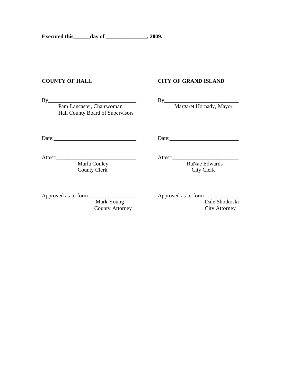#### **COUNTY OF HALL CITY OF GRAND ISLAND**

By<br>Pam Lancaster, Chairwoman Hall County Board of Supervisors

By<br>Margaret Hornady, Mayor

Date:\_\_\_\_\_\_\_\_\_\_\_\_\_\_\_\_\_\_\_\_\_\_\_\_\_\_\_\_\_\_ Date:\_\_\_\_\_\_\_\_\_\_\_\_\_\_\_\_\_\_\_\_\_\_\_\_\_

Attest:\_\_\_\_\_\_\_\_\_\_\_\_\_\_\_\_\_\_\_\_\_\_\_\_\_\_\_\_\_ Attest:\_\_\_\_\_\_\_\_\_\_\_\_\_\_\_\_\_\_\_\_\_\_\_\_ Marla Conley County Clerk City Clerk

Approved as to form\_\_\_\_\_\_\_\_\_\_\_\_\_\_\_\_\_\_ Approved as to form\_\_\_\_\_\_\_\_\_\_\_\_\_ Dale Shotkoski County Attorney City Attorney